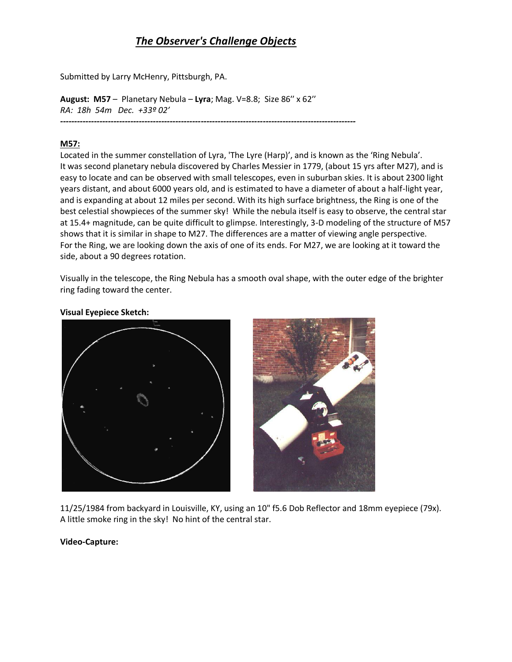## *The Observer's Challenge Objects*

Submitted by Larry McHenry, Pittsburgh, PA.

**August: M57** – Planetary Nebula – **Lyra**; Mag. V=8.8; Size 86′′ x 62′′ *RA: 18h 54m Dec. +33º 02′ ---------------------------------------------------------------------------------------------------------*

## **M57:**

Located in the summer constellation of Lyra, 'The Lyre (Harp)', and is known as the 'Ring Nebula'. It was second planetary nebula discovered by Charles Messier in 1779, (about 15 yrs after M27), and is easy to locate and can be observed with small telescopes, even in suburban skies. It is about 2300 light years distant, and about 6000 years old, and is estimated to have a diameter of about a half-light year, and is expanding at about 12 miles per second. With its high surface brightness, the Ring is one of the best celestial showpieces of the summer sky! While the nebula itself is easy to observe, the central star at 15.4+ magnitude, can be quite difficult to glimpse. Interestingly, 3-D modeling of the structure of M57 shows that it is similar in shape to M27. The differences are a matter of viewing angle perspective. For the Ring, we are looking down the axis of one of its ends. For M27, we are looking at it toward the side, about a 90 degrees rotation.

Visually in the telescope, the Ring Nebula has a smooth oval shape, with the outer edge of the brighter ring fading toward the center.

## **Visual Eyepiece Sketch:**





11/25/1984 from backyard in Louisville, KY, using an 10" f5.6 Dob Reflector and 18mm eyepiece (79x). A little smoke ring in the sky! No hint of the central star.

**Video-Capture:**